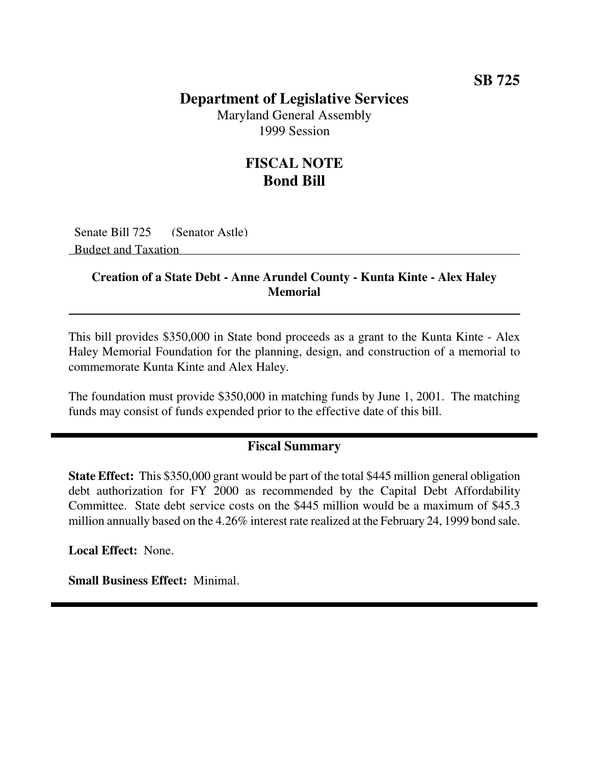### **Department of Legislative Services**

Maryland General Assembly 1999 Session

## **FISCAL NOTE Bond Bill**

Senate Bill 725 (Senator Astle) Budget and Taxation

#### **Creation of a State Debt - Anne Arundel County - Kunta Kinte - Alex Haley Memorial**

This bill provides \$350,000 in State bond proceeds as a grant to the Kunta Kinte - Alex Haley Memorial Foundation for the planning, design, and construction of a memorial to commemorate Kunta Kinte and Alex Haley.

The foundation must provide \$350,000 in matching funds by June 1, 2001. The matching funds may consist of funds expended prior to the effective date of this bill.

#### **Fiscal Summary**

**State Effect:** This \$350,000 grant would be part of the total \$445 million general obligation debt authorization for FY 2000 as recommended by the Capital Debt Affordability Committee. State debt service costs on the \$445 million would be a maximum of \$45.3 million annually based on the 4.26% interest rate realized at the February 24, 1999 bond sale.

**Local Effect:** None.

**Small Business Effect:** Minimal.